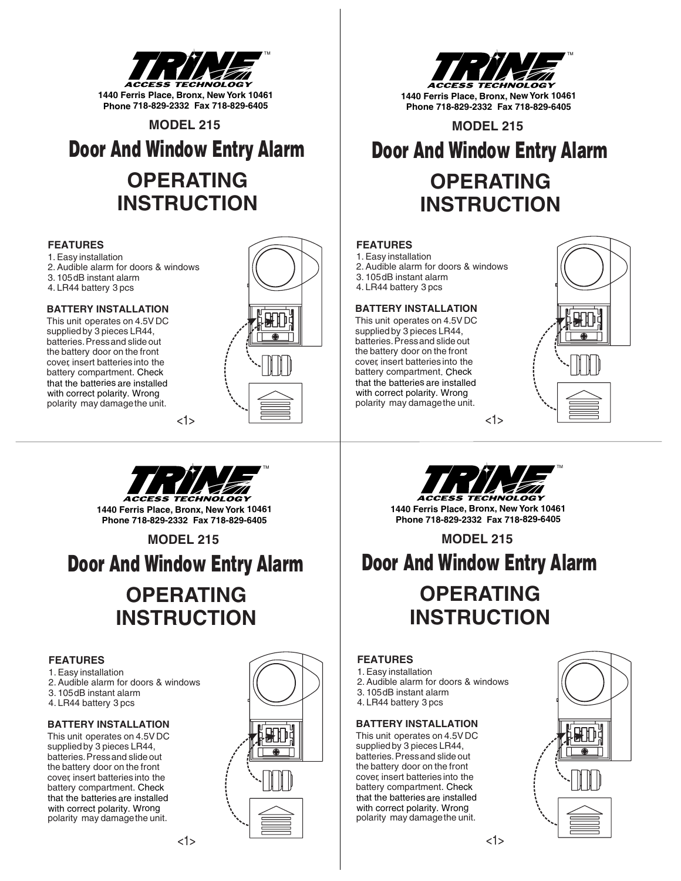

**MODEL 215**

# **OPERATING INSTRUCTION** Door And Window Entry Alarm

### **FEATURES**

1.Easy installation

- 2.Audible alarm for doors & windows 3. 105dB instant alarm
- 4. LR44 battery 3 pcs

### **BATTERY INSTALLATION**

This unit operates on 4.5V DC supplied by 3 pieces LR44, batteries. Press and slide out the battery door on the front cover, insert batteries into the battery compartment . Check polarity may damagethe unit. that the batteries are installed with correct polarity. Wrong



TM **1440 Ferris Place, Bronx, New York 10461 Phone 718-829-2332 Fax 718-829-6405**

**MODEL 215**

# Door And Window Entry Alarm

# **OPERATING INSTRUCTION**

### **FEATURES**

1.Easy installation

- 2.Audible alarm for doors & windows 3. 105dB instant alarm
- 4. LR44 battery 3 pcs

### **BATTERY INSTALLATION**

This unit operates on 4.5V DC supplied by 3 pieces LR44, batteries. Press and slide out the battery door on the front cover, insert batteries into the battery compartment . Check polarity may damagethe unit. that the batteries are installed with correct polarity. Wrong



<1>



<1>

**1440 Ferris Place, Bronx, New York 10461 Phone 718-829-2332 Fax 718-829-6405**

### **MODEL 215**

Door And Window Entry Alarm

# **OPERATING INSTRUCTION**

### **FEATURES**

- 1.Easy installation
- 2.Audible alarm for doors & windows
- 3. 105dB instant alarm
- 4. LR44 battery 3 pcs

### **BATTERY INSTALLATION**

This unit operates on 4.5V DC supplied by 3 pieces LR44, batteries. Press and slide out the battery door on the front cover, insert batteries into the battery compartment . Check polarity may damagethe unit. that the batteries are installed with correct polarity. Wrong





**1440 Ferris Place, Bronx, New York 10461 Phone 718-829-2332 Fax 718-829-6405**

**MODEL 215**

# Door And Window Entry Alarm

# **OPERATING INSTRUCTION**

### **FEATURES**

1.Easy installation 2.Audible alarm for doors & windows

- 3. 105dB instant alarm
- 4. LR44 battery 3 pcs

### **BATTERY INSTALLATION**

This unit operates on 4.5V DC supplied by 3 pieces LR44, batteries. Pressand slide out the battery door on the front cover, insert batteries into the battery compartment . Check polarity may damagethe unit. that the batteries are installed with correct polarity. Wrong